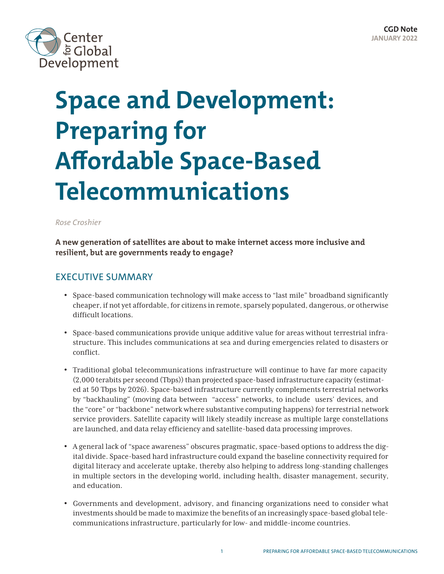

# **Space and Development: Preparing for Affordable Space-Based Telecommunications**

#### *Rose Croshier*

**A new generation of satellites are about to make internet access more inclusive and resilient, but are governments ready to engage?**

## EXECUTIVE SUMMARY

- Space-based communication technology will make access to "last mile" broadband significantly cheaper, if not yet affordable, for citizens in remote, sparsely populated, dangerous, or otherwise difficult locations.
- Space-based communications provide unique additive value for areas without terrestrial infrastructure. This includes communications at sea and during emergencies related to disasters or conflict.
- Traditional global telecommunications infrastructure will continue to have far more capacity (2,000 terabits per second (Tbps)) than projected space-based infrastructure capacity (estimated at 50 Tbps by 2026). Space-based infrastructure currently complements terrestrial networks by "backhauling" (moving data between "access" networks, to include users' devices, and the "core" or "backbone" network where substantive computing happens) for terrestrial network service providers. Satellite capacity will likely steadily increase as multiple large constellations are launched, and data relay efficiency and satellite-based data processing improves.
- A general lack of "space awareness" obscures pragmatic, space-based options to address the digital divide. Space-based hard infrastructure could expand the baseline connectivity required for digital literacy and accelerate uptake, thereby also helping to address long-standing challenges in multiple sectors in the developing world, including health, disaster management, security, and education.
- Governments and development, advisory, and financing organizations need to consider what investments should be made to maximize the benefits of an increasingly space-based global telecommunications infrastructure, particularly for low- and middle-income countries.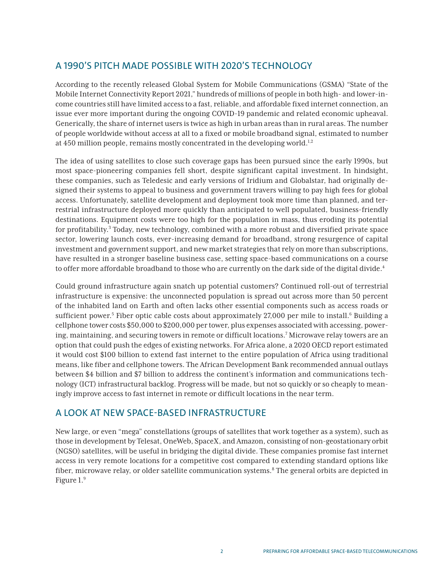# A 1990'S PITCH MADE POSSIBLE WITH 2020'S TECHNOLOGY

According to the recently released Global System for Mobile Communications (GSMA) "State of the Mobile Internet Connectivity Report 2021," hundreds of millions of people in both high- and lower-income countries still have limited access to a fast, reliable, and affordable fixed internet connection, an issue ever more important during the ongoing COVID-19 pandemic and related economic upheaval. Generically, the share of internet users is twice as high in urban areas than in rural areas. The number of people worldwide without access at all to a fixed or mobile broadband signal, estimated to number at 450 million people, remains mostly concentrated in the developing world.<sup>1,2</sup>

The idea of using satellites to close such coverage gaps has been pursued since the early 1990s, but most space-pioneering companies fell short, despite significant capital investment. In hindsight, these companies, such as Teledesic and early versions of Iridium and Globalstar, had originally designed their systems to appeal to business and government travers willing to pay high fees for global access. Unfortunately, satellite development and deployment took more time than planned, and terrestrial infrastructure deployed more quickly than anticipated to well populated, business-friendly destinations. Equipment costs were too high for the population in mass, thus eroding its potential for profitability.<sup>3</sup> Today, new technology, combined with a more robust and diversified private space sector, lowering launch costs, ever-increasing demand for broadband, strong resurgence of capital investment and government support, and new market strategies that rely on more than subscriptions, have resulted in a stronger baseline business case, setting space-based communications on a course to offer more affordable broadband to those who are currently on the dark side of the digital divide.<sup>4</sup>

Could ground infrastructure again snatch up potential customers? Continued roll-out of terrestrial infrastructure is expensive: the unconnected population is spread out across more than 50 percent of the inhabited land on Earth and often lacks other essential components such as access roads or sufficient power.<sup>5</sup> Fiber optic cable costs about approximately 27,000 per mile to install.<sup>6</sup> Building a cellphone tower costs \$50,000 to \$200,000 per tower, plus expenses associated with accessing, powering, maintaining, and securing towers in remote or difficult locations.<sup>7</sup> Microwave relay towers are an option that could push the edges of existing networks. For Africa alone, a 2020 OECD report estimated it would cost \$100 billion to extend fast internet to the entire population of Africa using traditional means, like fiber and cellphone towers. The African Development Bank recommended annual outlays between \$4 billion and \$7 billion to address the continent's information and communications technology (ICT) infrastructural backlog. Progress will be made, but not so quickly or so cheaply to meaningly improve access to fast internet in remote or difficult locations in the near term.

## A LOOK AT NEW SPACE-BASED INFRASTRUCTURE

New large, or even "mega" constellations (groups of satellites that work together as a system), such as those in development by Telesat, OneWeb, SpaceX, and Amazon, consisting of non-geostationary orbit (NGSO) satellites, will be useful in bridging the digital divide. These companies promise fast internet access in very remote locations for a competitive cost compared to extending standard options like fiber, microwave relay, or older satellite communication systems.<sup>8</sup> The general orbits are depicted in Figure 1.9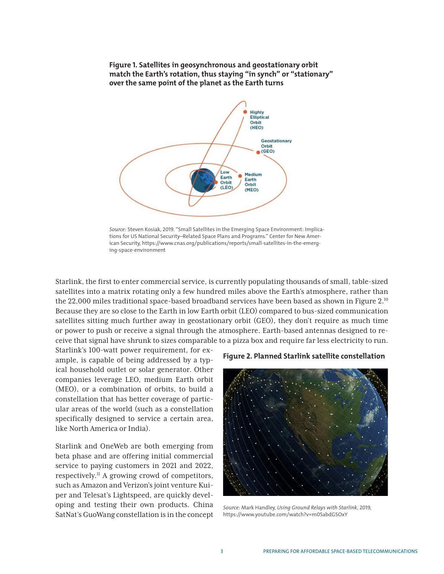#### **Figure 1. Satellites in geosynchronous and geostationary orbit match the Earth's rotation, thus staying "in synch" or "stationary" over the same point of the planet as the Earth turns**



*Source:* Steven Kosiak, 2019. "Small Satellites in the Emerging Space Environment: Implications for US National Security–Related Space Plans and Programs." Center for New American Security, https://www.cnas.org/publications/reports/small-satellites-in-the-emerging-space-environment

Starlink, the first to enter commercial service, is currently populating thousands of small, table-sized satellites into a matrix rotating only a few hundred miles above the Earth's atmosphere, rather than the 22,000 miles traditional space-based broadband services have been based as shown in Figure 2.10 Because they are so close to the Earth in low Earth orbit (LEO) compared to bus-sized communication satellites sitting much further away in geostationary orbit (GEO), they don't require as much time or power to push or receive a signal through the atmosphere. Earth-based antennas designed to receive that signal have shrunk to sizes comparable to a pizza box and require far less electricity to run.

Starlink's 100-watt power requirement, for example, is capable of being addressed by a typical household outlet or solar generator. Other companies leverage LEO, medium Earth orbit (MEO), or a combination of orbits, to build a constellation that has better coverage of particular areas of the world (such as a constellation specifically designed to service a certain area, like North America or India).

Starlink and OneWeb are both emerging from beta phase and are offering initial commercial service to paying customers in 2021 and 2022, respectively.11 A growing crowd of competitors, such as Amazon and Verizon's joint venture Kuiper and Telesat's Lightspeed, are quickly developing and testing their own products. China SatNat's GuoWang constellation is in the concept

#### **Figure 2. Planned Starlink satellite constellation**



*Source:* Mark Handley, *Using Ground Relays with Starlink*, 2019, https://www.youtube.com/watch?v=m05abdGSOxY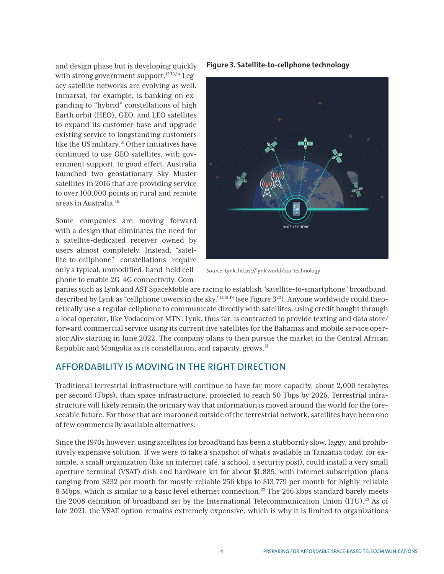and design phase but is developing quickly with strong government support. $12,13,14$  Legacy satellite networks are evolving as well. Inmarsat, for example, is banking on expanding to "hybrid" constellations of high Earth orbit (HEO), GEO, and LEO satellites to expand its customer base and upgrade existing service to longstanding customers like the US military.15 Other initiatives have continued to use GEO satellites, with government support, to good effect. Australia launched two geostationary Sky Muster satellites in 2016 that are providing service to over 100,000 points in rural and remote areas in Australia.16

Some companies are moving forward with a design that eliminates the need for a satellite-dedicated receiver owned by users almost completely. Instead, "satellite-to-cellphone" constellations require only a typical, unmodified, hand-held cellphone to enable 2G-4G connectivity. Com**Figure 3. Satellite-to-cellphone technology**



*Source:* Lynk, https://lynk.world/our-technology

panies such as Lynk and AST SpaceMoble are racing to establish "satellite-to-smartphone" broadband, described by Lynk as "cellphone towers in the sky."<sup>17,18,19</sup> (see Figure 3<sup>20</sup>). Anyone worldwide could theoretically use a regular cellphone to communicate directly with satellites, using credit bought through a local operator, like Vodacom or MTN. Lynk, thus far, is contracted to provide texting and data store/ forward commercial service using its current five satellites for the Bahamas and mobile service operator Aliv starting in June 2022. The company plans to then pursue the market in the Central African Republic and Mongolia as its constellation, and capacity, grows.<sup>21</sup>

#### AFFORDABILITY IS MOVING IN THE RIGHT DIRECTION

Traditional terrestrial infrastructure will continue to have far more capacity, about 2,000 terabytes per second (Tbps), than space infrastructure, projected to reach 50 Tbps by 2026. Terrestrial infrastructure will likely remain the primary way that information is moved around the world for the foreseeable future. For those that are marooned outside of the terrestrial network, satellites have been one of few commercially available alternatives.

Since the 1970s however, using satellites for broadband has been a stubbornly slow, laggy, and prohibitively expensive solution. If we were to take a snapshot of what's available in Tanzania today, for example, a small organization (like an internet café, a school, a security post), could install a very small aperture terminal (VSAT) dish and hardware kit for about \$1,885, with internet subscription plans ranging from \$232 per month for mostly-reliable 256 kbps to \$13,779 per month for highly-reliable 8 Mbps, which is similar to a basic level ethernet connection.<sup>22</sup> The 256 kbps standard barely meets the 2008 definition of broadband set by the International Telecommunication Union (ITU).<sup>23</sup> As of late 2021, the VSAT option remains extremely expensive, which is why it is limited to organizations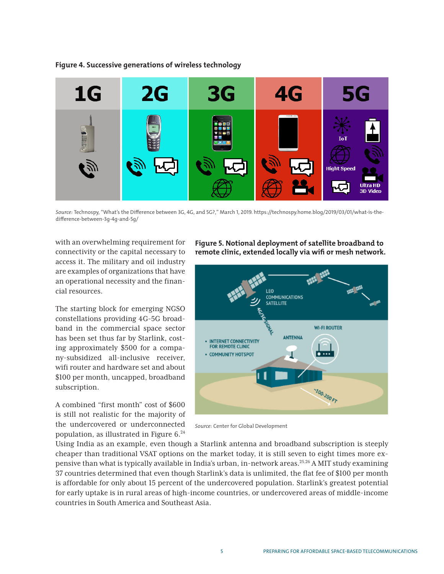

**Figure 4. Successive generations of wireless technology**

*Source:* Technospy, "What's the Difference between 3G, 4G, and 5G?," March 1, 2019. https://technospy.home.blog/2019/03/01/what-is-thedifference-between-3g-4g-and-5g/

with an overwhelming requirement for connectivity or the capital necessary to access it. The military and oil industry are examples of organizations that have an operational necessity and the financial resources.

The starting block for emerging NGSO constellations providing 4G-5G broadband in the commercial space sector has been set thus far by Starlink, costing approximately \$500 for a company-subsidized all-inclusive receiver, wifi router and hardware set and about \$100 per month, uncapped, broadband subscription.

A combined "first month" cost of \$600 is still not realistic for the majority of the undercovered or underconnected population, as illustrated in Figure 6.24

**Figure 5. Notional deployment of satellite broadband to remote clinic, extended locally via wifi or mesh network.** 



*Source:* Center for Global Development

Using India as an example, even though a Starlink antenna and broadband subscription is steeply cheaper than traditional VSAT options on the market today, it is still seven to eight times more expensive than what is typically available in India's urban, in-network areas.<sup>25,26</sup> A MIT study examining 37 countries determined that even though Starlink's data is unlimited, the flat fee of \$100 per month is affordable for only about 15 percent of the undercovered population. Starlink's greatest potential for early uptake is in rural areas of high-income countries, or undercovered areas of middle-income countries in South America and Southeast Asia.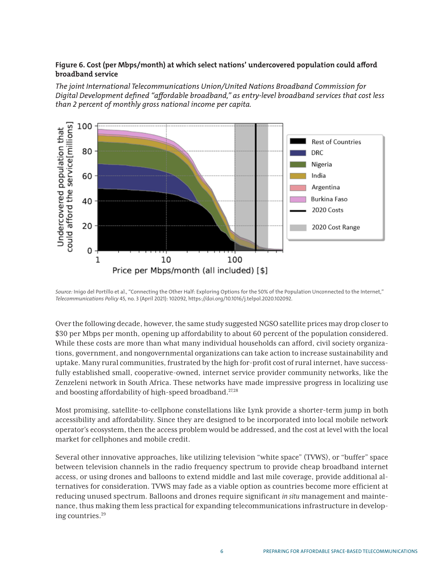#### **Figure 6. Cost (per Mbps/month) at which select nations' undercovered population could afford broadband service**

*The joint International Telecommunications Union/United Nations Broadband Commission for Digital Development defined "affordable broadband," as entry-level broadband services that cost less than 2 percent of monthly gross national income per capita.* 



*Source:* Inigo del Portillo et al., "Connecting the Other Half: Exploring Options for the 50% of the Population Unconnected to the Internet," *Telecommunications Policy* 45, no. 3 (April 2021): 102092, https://doi.org/10.1016/j.telpol.2020.102092.

Over the following decade, however, the same study suggested NGSO satellite prices may drop closer to \$30 per Mbps per month, opening up affordability to about 60 percent of the population considered. While these costs are more than what many individual households can afford, civil society organizations, government, and nongovernmental organizations can take action to increase sustainability and uptake. Many rural communities, frustrated by the high for-profit cost of rural internet, have successfully established small, cooperative-owned, internet service provider community networks, like the Zenzeleni network in South Africa. These networks have made impressive progress in localizing use and boosting affordability of high-speed broadband.<sup>27,28</sup>

Most promising, satellite-to-cellphone constellations like Lynk provide a shorter-term jump in both accessibility and affordability. Since they are designed to be incorporated into local mobile network operator's ecosystem, then the access problem would be addressed, and the cost at level with the local market for cellphones and mobile credit.

Several other innovative approaches, like utilizing television "white space" (TVWS), or "buffer" space between television channels in the radio frequency spectrum to provide cheap broadband internet access, or using drones and balloons to extend middle and last mile coverage, provide additional alternatives for consideration. TVWS may fade as a viable option as countries become more efficient at reducing unused spectrum. Balloons and drones require significant *in situ* management and maintenance, thus making them less practical for expanding telecommunications infrastructure in developing countries.29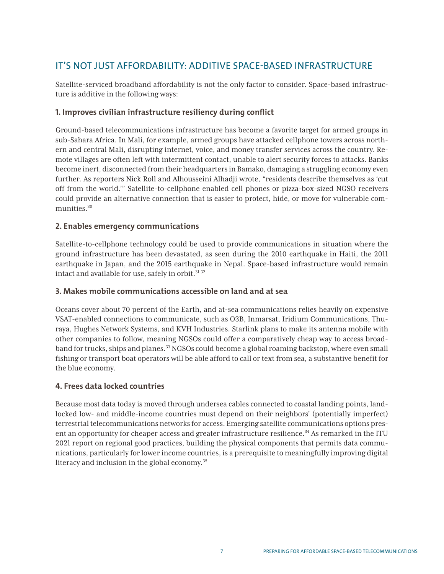# IT'S NOT JUST AFFORDABILITY: ADDITIVE SPACE-BASED INFRASTRUCTURE

Satellite-serviced broadband affordability is not the only factor to consider. Space-based infrastructure is additive in the following ways:

#### **1. Improves civilian infrastructure resiliency during conflict**

Ground-based telecommunications infrastructure has become a favorite target for armed groups in sub-Sahara Africa. In Mali, for example, armed groups have attacked cellphone towers across northern and central Mali, disrupting internet, voice, and money transfer services across the country. Remote villages are often left with intermittent contact, unable to alert security forces to attacks. Banks become inert, disconnected from their headquarters in Bamako, damaging a struggling economy even further. As reporters Nick Roll and Alhousseini Alhadji wrote, "residents describe themselves as 'cut off from the world.'" Satellite-to-cellphone enabled cell phones or pizza-box-sized NGSO receivers could provide an alternative connection that is easier to protect, hide, or move for vulnerable communities.30

#### **2. Enables emergency communications**

Satellite-to-cellphone technology could be used to provide communications in situation where the ground infrastructure has been devastated, as seen during the 2010 earthquake in Haiti, the 2011 earthquake in Japan, and the 2015 earthquake in Nepal. Space-based infrastructure would remain intact and available for use, safely in orbit.<sup>31,32</sup>

#### **3. Makes mobile communications accessible on land and at sea**

Oceans cover about 70 percent of the Earth, and at-sea communications relies heavily on expensive VSAT-enabled connections to communicate, such as O3B, Inmarsat, Iridium Communications, Thuraya, Hughes Network Systems, and KVH Industries. Starlink plans to make its antenna mobile with other companies to follow, meaning NGSOs could offer a comparatively cheap way to access broadband for trucks, ships and planes.33 NGSOs could become a global roaming backstop, where even small fishing or transport boat operators will be able afford to call or text from sea, a substantive benefit for the blue economy.

#### **4. Frees data locked countries**

Because most data today is moved through undersea cables connected to coastal landing points, landlocked low- and middle-income countries must depend on their neighbors' (potentially imperfect) terrestrial telecommunications networks for access. Emerging satellite communications options present an opportunity for cheaper access and greater infrastructure resilience.<sup>34</sup> As remarked in the ITU 2021 report on regional good practices, building the physical components that permits data communications, particularly for lower income countries, is a prerequisite to meaningfully improving digital literacy and inclusion in the global economy.35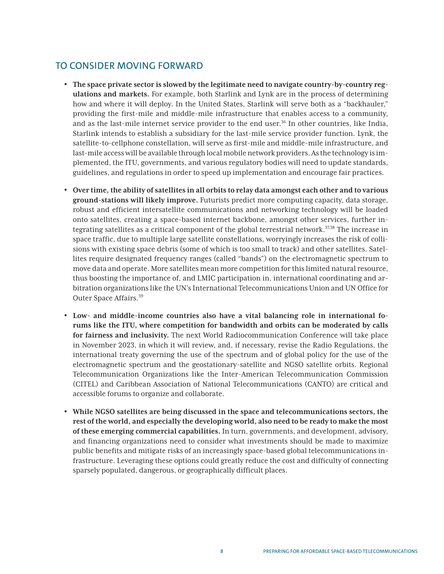## TO CONSIDER MOVING FORWARD

- **The space private sector is slowed by the legitimate need to navigate country-by-country regulations and markets.** For example, both Starlink and Lynk are in the process of determining how and where it will deploy. In the United States, Starlink will serve both as a "backhauler," providing the first-mile and middle-mile infrastructure that enables access to a community, and as the last-mile internet service provider to the end user.36 In other countries, like India, Starlink intends to establish a subsidiary for the last-mile service provider function. Lynk, the satellite-to-cellphone constellation, will serve as first-mile and middle-mile infrastructure, and last-mile access will be available through local mobile network providers. As the technology is implemented, the ITU, governments, and various regulatory bodies will need to update standards, guidelines, and regulations in order to speed up implementation and encourage fair practices.
- **Over time, the ability of satellites in all orbits to relay data amongst each other and to various ground-stations will likely improve.** Futurists predict more computing capacity, data storage, robust and efficient intersatellite communications and networking technology will be loaded onto satellites, creating a space-based internet backbone, amongst other services, further integrating satellites as a critical component of the global terrestrial network.<sup>37,38</sup> The increase in space traffic, due to multiple large satellite constellations, worryingly increases the risk of collisions with existing space debris (some of which is too small to track) and other satellites. Satellites require designated frequency ranges (called "bands") on the electromagnetic spectrum to move data and operate. More satellites mean more competition for this limited natural resource, thus boosting the importance of, and LMIC participation in, international coordinating and arbitration organizations like the UN's International Telecommunications Union and UN Office for Outer Space Affairs.39
- **Low- and middle-income countries also have a vital balancing role in international forums like the ITU, where competition for bandwidth and orbits can be moderated by calls for fairness and inclusivity.** The next World Radiocommunication Conference will take place in November 2023, in which it will review, and, if necessary, revise the Radio Regulations, the international treaty governing the use of the spectrum and of global policy for the use of the electromagnetic spectrum and the geostationary-satellite and NGSO satellite orbits. Regional Telecommunication Organizations like the Inter-American Telecommunication Commission (CITEL) and Caribbean Association of National Telecommunications (CANTO) are critical and accessible forums to organize and collaborate.
- **While NGSO satellites are being discussed in the space and telecommunications sectors, the rest of the world, and especially the developing world, also need to be ready to make the most of these emerging commercial capabilities.** In turn, governments, and development, advisory, and financing organizations need to consider what investments should be made to maximize public benefits and mitigate risks of an increasingly space-based global telecommunications infrastructure. Leveraging these options could greatly reduce the cost and difficulty of connecting sparsely populated, dangerous, or geographically difficult places.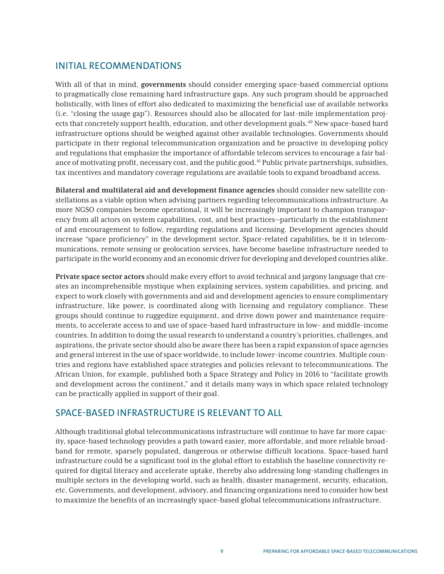## INITIAL RECOMMENDATIONS

With all of that in mind, **governments** should consider emerging space-based commercial options to pragmatically close remaining hard infrastructure gaps. Any such program should be approached holistically, with lines of effort also dedicated to maximizing the beneficial use of available networks (i.e. "closing the usage gap"). Resources should also be allocated for last-mile implementation projects that concretely support health, education, and other development goals.<sup>40</sup> New space-based hard infrastructure options should be weighed against other available technologies. Governments should participate in their regional telecommunication organization and be proactive in developing policy and regulations that emphasize the importance of affordable telecom services to encourage a fair balance of motivating profit, necessary cost, and the public good.41 Public private partnerships, subsidies, tax incentives and mandatory coverage regulations are available tools to expand broadband access.

**Bilateral and multilateral aid and development finance agencies** should consider new satellite constellations as a viable option when advising partners regarding telecommunications infrastructure. As more NGSO companies become operational, it will be increasingly important to champion transparency from all actors on system capabilities, cost, and best practices—particularly in the establishment of and encouragement to follow, regarding regulations and licensing. Development agencies should increase "space proficiency" in the development sector. Space-related capabilities, be it in telecommunications, remote sensing or geolocation services, have become baseline infrastructure needed to participate in the world economy and an economic driver for developing and developed countries alike.

**Private space sector actors** should make every effort to avoid technical and jargony language that creates an incomprehensible mystique when explaining services, system capabilities, and pricing, and expect to work closely with governments and aid and development agencies to ensure complimentary infrastructure, like power, is coordinated along with licensing and regulatory compliance. These groups should continue to ruggedize equipment, and drive down power and maintenance requirements, to accelerate access to and use of space-based hard infrastructure in low- and middle-income countries. In addition to doing the usual research to understand a country's priorities, challenges, and aspirations, the private sector should also be aware there has been a rapid expansion of space agencies and general interest in the use of space worldwide, to include lower-income countries. Multiple countries and regions have established space strategies and policies relevant to telecommunications. The African Union, for example, published both a Space Strategy and Policy in 2016 to "facilitate growth and development across the continent," and it details many ways in which space related technology can be practically applied in support of their goal.

## SPACE-BASED INFRASTRUCTURE IS RELEVANT TO ALL

Although traditional global telecommunications infrastructure will continue to have far more capacity, space-based technology provides a path toward easier, more affordable, and more reliable broadband for remote, sparsely populated, dangerous or otherwise difficult locations. Space-based hard infrastructure could be a significant tool in the global effort to establish the baseline connectivity required for digital literacy and accelerate uptake, thereby also addressing long-standing challenges in multiple sectors in the developing world, such as health, disaster management, security, education, etc. Governments, and development, advisory, and financing organizations need to consider how best to maximize the benefits of an increasingly space-based global telecommunications infrastructure.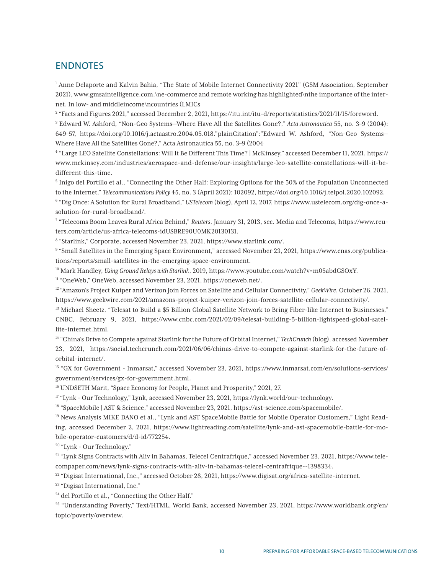#### **ENDNOTES**

<sup>1</sup> Anne Delaporte and Kalvin Bahia, "The State of Mobile Internet Connectivity 2021" (GSM Association, September 2021), www.gmsaintelligence.com.\ne-commerce and remote working has highlighted\nthe importance of the internet. In low- and middleincome\ncountries (LMICs

2 "Facts and Figures 2021," accessed December 2, 2021, https://itu.int/itu-d/reports/statistics/2021/11/15/foreword.

3 Edward W. Ashford, "Non-Geo Systems—Where Have All the Satellites Gone?," *Acta Astronautica* 55, no. 3–9 (2004): 649–57, https://doi.org/10.1016/j.actaastro.2004.05.018."plainCitation":"Edward W. Ashford, "Non-Geo Systems— Where Have All the Satellites Gone?," Acta Astronautica 55, no. 3–9 (2004

4 "Large LEO Satellite Constellations: Will It Be Different This Time? | McKinsey," accessed December 11, 2021, https:// www.mckinsey.com/industries/aerospace-and-defense/our-insights/large-leo-satellite-constellations-will-it-bedifferent-this-time.

5 Inigo del Portillo et al., "Connecting the Other Half: Exploring Options for the 50% of the Population Unconnected to the Internet," *Telecommunications Policy* 45, no. 3 (April 2021): 102092, https://doi.org/10.1016/j.telpol.2020.102092.

6 "Dig Once: A Solution for Rural Broadband," *USTelecom* (blog), April 12, 2017, https://www.ustelecom.org/dig-once-asolution-for-rural-broadband/.

7 "Telecoms Boom Leaves Rural Africa Behind," *Reuters*, January 31, 2013, sec. Media and Telecoms, https://www.reuters.com/article/us-africa-telecoms-idUSBRE90U0MK20130131.

8 "Starlink," Corporate, accessed November 23, 2021, https://www.starlink.com/.

9 "Small Satellites in the Emerging Space Environment," accessed November 23, 2021, https://www.cnas.org/publications/reports/small-satellites-in-the-emerging-space-environment.

10 Mark Handley, *Using Ground Relays with Starlink*, 2019, https://www.youtube.com/watch?v=m05abdGSOxY.

11 "OneWeb," OneWeb, accessed November 23, 2021, https://oneweb.net/.

<sup>12</sup> "Amazon's Project Kuiper and Verizon Join Forces on Satellite and Cellular Connectivity," *GeekWire*, October 26, 2021, https://www.geekwire.com/2021/amazons-project-kuiper-verizon-join-forces-satellite-cellular-connectivity/.

<sup>13</sup> Michael Sheetz, "Telesat to Build a \$5 Billion Global Satellite Network to Bring Fiber-like Internet to Businesses," CNBC, February 9, 2021, https://www.cnbc.com/2021/02/09/telesat-building-5-billion-lightspeed-global-satellite-internet.html.

14 "China's Drive to Compete against Starlink for the Future of Orbital Internet," *TechCrunch* (blog), accessed November 23, 2021, https://social.techcrunch.com/2021/06/06/chinas-drive-to-compete-against-starlink-for-the-future-oforbital-internet/.

15 "GX for Government - Inmarsat," accessed November 23, 2021, https://www.inmarsat.com/en/solutions-services/ government/services/gx-for-government.html.

16 UNDSETH Marit, "Space Economy for People, Planet and Prosperity," 2021, 27.

17 "Lynk - Our Technology," Lynk, accessed November 23, 2021, https://lynk.world/our-technology.

18 "SpaceMobile | AST & Science," accessed November 23, 2021, https://ast-science.com/spacemobile/.

19 News Analysis MIKE DANO et al., "Lynk and AST SpaceMobile Battle for Mobile Operator Customers," Light Reading, accessed December 2, 2021, https://www.lightreading.com/satellite/lynk-and-ast-spacemobile-battle-for-mobile-operator-customers/d/d-id/772254.

20 "Lynk - Our Technology."

21 "Lynk Signs Contracts with Aliv in Bahamas, Telecel Centrafrique," accessed November 23, 2021, https://www.telecompaper.com/news/lynk-signs-contracts-with-aliv-in-bahamas-telecel-centrafrique--1398334.

22 "Digisat International, Inc.," accessed October 28, 2021, https://www.digisat.org/africa-satellite-internet.

23 "Digisat International, Inc."

<sup>24</sup> del Portillo et al., "Connecting the Other Half."

25 "Understanding Poverty," Text/HTML, World Bank, accessed November 23, 2021, https://www.worldbank.org/en/ topic/poverty/overview.